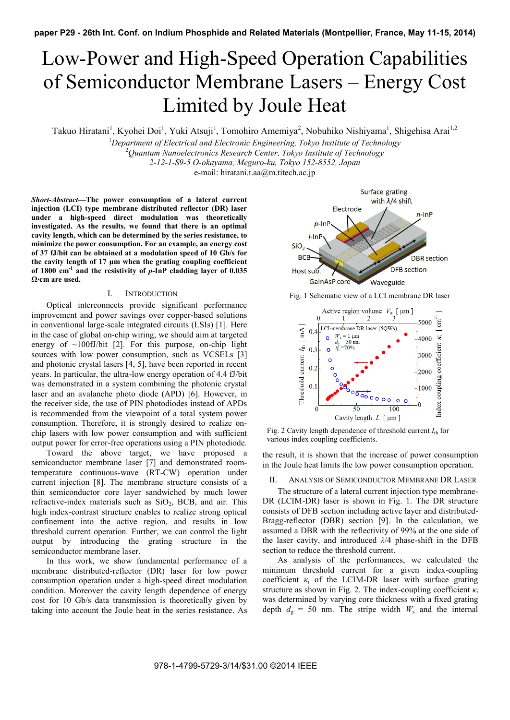# Low-Power and High-Speed Operation Capabilities of Semiconductor Membrane Lasers – Energy Cost Limited by Joule Heat

Takuo Hiratani<sup>1</sup>, Kyohei Doi<sup>1</sup>, Yuki Atsuji<sup>1</sup>, Tomohiro Amemiya<sup>2</sup>, Nobuhiko Nishiyama<sup>1</sup>, Shigehisa Arai<sup>1,2</sup>

<sup>1</sup>Department of Electrical and Electronic Engineering, Tokyo Institute of Technology<br><sup>2</sup>Oventum Nanoglectronics Pessareh Center, Tokyo Institute of Technology

*Quantum Nanoelectronics Research Center, Tokyo Institute of Technology* 

*2-12-1-S9-5 O-okayama, Meguro-ku, Tokyo 152-8552, Japan* 

e-mail: hiratani.t.aa@m.titech.ac.jp

*Short-Abstract***—The power consumption of a lateral current injection (LCI) type membrane distributed reflector (DR) laser under a high-speed direct modulation was theoretically investigated. As the results, we found that there is an optimal cavity length, which can be determined by the series resistance, to minimize the power consumption. For an example, an energy cost of 37 fJ/bit can be obtained at a modulation speed of 10 Gb/s for the cavity length of 17 μm when the grating coupling coefficient of 1800 cm-1 and the resistivity of** *p***-InP cladding layer of 0.035 Ω∙cm are used.** 

# I. INTRODUCTION

Optical interconnects provide significant performance improvement and power savings over copper-based solutions in conventional large-scale integrated circuits (LSIs) [1]. Here in the case of global on-chip wiring, we should aim at targeted energy of  $\sim$ 100fJ/bit [2]. For this purpose, on-chip light sources with low power consumption, such as VCSELs [3] and photonic crystal lasers [4, 5], have been reported in recent years. In particular, the ultra-low energy operation of 4.4 fJ/bit was demonstrated in a system combining the photonic crystal laser and an avalanche photo diode (APD) [6]. However, in the receiver side, the use of PIN photodiodes instead of APDs is recommended from the viewpoint of a total system power consumption. Therefore, it is strongly desired to realize onchip lasers with low power consumption and with sufficient output power for error-free operations using a PIN photodiode.

Toward the above target, we have proposed a semiconductor membrane laser [7] and demonstrated roomtemperature continuous-wave (RT-CW) operation under current injection [8]. The membrane structure consists of a thin semiconductor core layer sandwiched by much lower refractive-index materials such as  $SiO<sub>2</sub>$ , BCB, and air. This high index-contrast structure enables to realize strong optical confinement into the active region, and results in low threshold current operation. Further, we can control the light output by introducing the grating structure in the semiconductor membrane laser.

In this work, we show fundamental performance of a membrane distributed-reflector (DR) laser for low power consumption operation under a high-speed direct modulation condition. Moreover the cavity length dependence of energy cost for 10 Gb/s data transmission is theoretically given by taking into account the Joule heat in the series resistance. As



Fig. 1 Schematic view of a LCI membrane DR laser



Fig. 2 Cavity length dependence of threshold current  $I_{\text{th}}$  for various index coupling coefficients.

the result, it is shown that the increase of power consumption in the Joule heat limits the low power consumption operation.

## II. ANALYSIS OF SEMICONDUCTOR MEMBRANE DR LASER

The structure of a lateral current injection type membrane-DR (LCIM-DR) laser is shown in Fig. 1. The DR structure consists of DFB section including active layer and distributed-Bragg-reflector (DBR) section [9]. In the calculation, we assumed a DBR with the reflectivity of 99% at the one side of the laser cavity, and introduced *λ*/4 phase-shift in the DFB section to reduce the threshold current.

As analysis of the performances, we calculated the minimum threshold current for a given index-coupling coefficient  $\kappa_i$  of the LCIM-DR laser with surface grating structure as shown in Fig. 2. The index-coupling coefficient  $\kappa_i$ was determined by varying core thickness with a fixed grating depth  $d_g = 50$  nm. The stripe width  $W_s$  and the internal